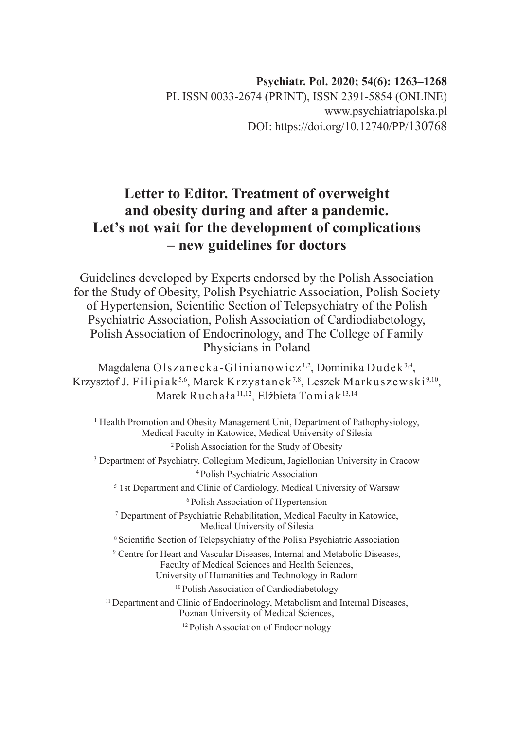## **Letter to Editor. Treatment of overweight and obesity during and after a pandemic. Let's not wait for the development of complications – new guidelines for doctors**

Guidelines developed by Experts endorsed by the Polish Association for the Study of Obesity, Polish Psychiatric Association, Polish Society of Hypertension, Scientific Section of Telepsychiatry of the Polish Psychiatric Association, Polish Association of Cardiodiabetology, Polish Association of Endocrinology, and The College of Family Physicians in Poland

Magdalena Olszanecka-Glinianowicz 1,2, Dominika Dudek3,4, Krzysztof J. Filipiak<sup>5,6</sup>, Marek Krzystanek<sup>7,8</sup>, Leszek Markuszewski<sup>9,10</sup>, Marek Ruchała<sup>11,12</sup>, Elżbieta Tomiak<sup>13,14</sup>

<sup>1</sup> Health Promotion and Obesity Management Unit, Department of Pathophysiology, Medical Faculty in Katowice, Medical University of Silesia 2 Polish Association for the Study of Obesity

<sup>3</sup> Department of Psychiatry, Collegium Medicum, Jagiellonian University in Cracow 4 Polish Psychiatric Association

<sup>5</sup> 1st Department and Clinic of Cardiology, Medical University of Warsaw

6 Polish Association of Hypertension

7 Department of Psychiatric Rehabilitation, Medical Faculty in Katowice, Medical University of Silesia

<sup>8</sup> Scientific Section of Telepsychiatry of the Polish Psychiatric Association

9 Centre for Heart and Vascular Diseases, Internal and Metabolic Diseases, Faculty of Medical Sciences and Health Sciences, University of Humanities and Technology in Radom

<sup>10</sup> Polish Association of Cardiodiabetology

<sup>11</sup> Department and Clinic of Endocrinology, Metabolism and Internal Diseases, Poznan University of Medical Sciences,

12 Polish Association of Endocrinology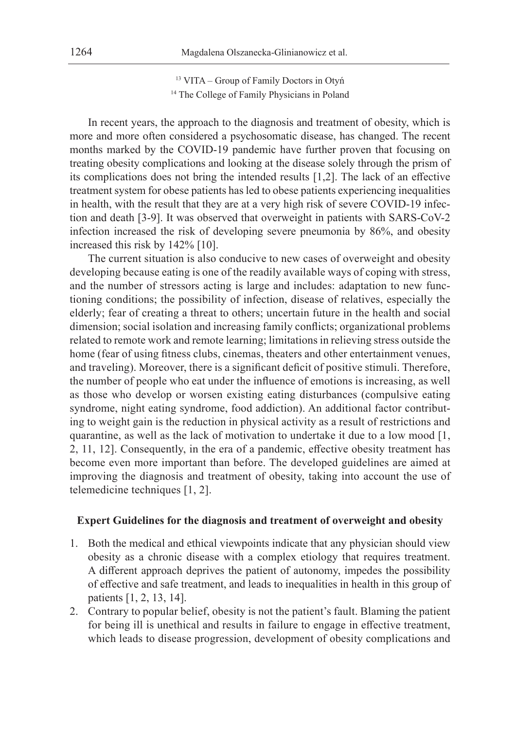<sup>13</sup> VITA – Group of Family Doctors in Otyń <sup>14</sup> The College of Family Physicians in Poland

In recent years, the approach to the diagnosis and treatment of obesity, which is more and more often considered a psychosomatic disease, has changed. The recent months marked by the COVID-19 pandemic have further proven that focusing on treating obesity complications and looking at the disease solely through the prism of its complications does not bring the intended results [1,2]. The lack of an effective treatment system for obese patients has led to obese patients experiencing inequalities in health, with the result that they are at a very high risk of severe COVID-19 infection and death [3-9]. It was observed that overweight in patients with SARS-CoV-2 infection increased the risk of developing severe pneumonia by 86%, and obesity increased this risk by 142% [10].

The current situation is also conducive to new cases of overweight and obesity developing because eating is one of the readily available ways of coping with stress, and the number of stressors acting is large and includes: adaptation to new functioning conditions; the possibility of infection, disease of relatives, especially the elderly; fear of creating a threat to others; uncertain future in the health and social dimension; social isolation and increasing family conflicts; organizational problems related to remote work and remote learning; limitations in relieving stress outside the home (fear of using fitness clubs, cinemas, theaters and other entertainment venues, and traveling). Moreover, there is a significant deficit of positive stimuli. Therefore, the number of people who eat under the influence of emotions is increasing, as well as those who develop or worsen existing eating disturbances (compulsive eating syndrome, night eating syndrome, food addiction). An additional factor contributing to weight gain is the reduction in physical activity as a result of restrictions and quarantine, as well as the lack of motivation to undertake it due to a low mood [1, 2, 11, 12]. Consequently, in the era of a pandemic, effective obesity treatment has become even more important than before. The developed guidelines are aimed at improving the diagnosis and treatment of obesity, taking into account the use of telemedicine techniques [1, 2].

## **Expert Guidelines for the diagnosis and treatment of overweight and obesity**

- 1. Both the medical and ethical viewpoints indicate that any physician should view obesity as a chronic disease with a complex etiology that requires treatment. A different approach deprives the patient of autonomy, impedes the possibility of effective and safe treatment, and leads to inequalities in health in this group of patients [1, 2, 13, 14].
- 2. Contrary to popular belief, obesity is not the patient's fault. Blaming the patient for being ill is unethical and results in failure to engage in effective treatment, which leads to disease progression, development of obesity complications and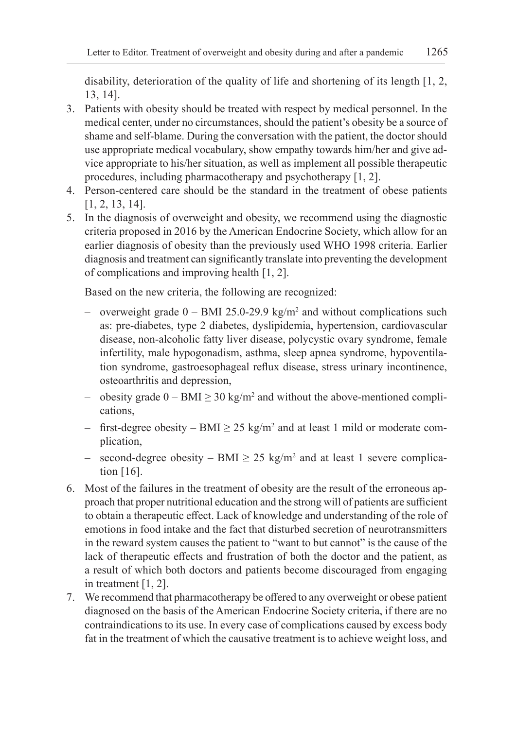disability, deterioration of the quality of life and shortening of its length [1, 2, 13, 14].

- 3. Patients with obesity should be treated with respect by medical personnel. In the medical center, under no circumstances, should the patient's obesity be a source of shame and self-blame. During the conversation with the patient, the doctor should use appropriate medical vocabulary, show empathy towards him/her and give advice appropriate to his/her situation, as well as implement all possible therapeutic procedures, including pharmacotherapy and psychotherapy [1, 2].
- 4. Person-centered care should be the standard in the treatment of obese patients [1, 2, 13, 14].
- 5. In the diagnosis of overweight and obesity, we recommend using the diagnostic criteria proposed in 2016 by the American Endocrine Society, which allow for an earlier diagnosis of obesity than the previously used WHO 1998 criteria. Earlier diagnosis and treatment can significantly translate into preventing the development of complications and improving health [1, 2].

Based on the new criteria, the following are recognized:

- overweight grade  $0 BMI 25.0-29.9 kg/m<sup>2</sup>$  and without complications such as: pre-diabetes, type 2 diabetes, dyslipidemia, hypertension, cardiovascular disease, non-alcoholic fatty liver disease, polycystic ovary syndrome, female infertility, male hypogonadism, asthma, sleep apnea syndrome, hypoventilation syndrome, gastroesophageal reflux disease, stress urinary incontinence, osteoarthritis and depression,
- obesity grade  $0 \text{BMI} \geq 30 \text{ kg/m}^2$  and without the above-mentioned complications,
- $-$  first-degree obesity  $-$  BMI  $\geq$  25 kg/m<sup>2</sup> and at least 1 mild or moderate complication,
- second-degree obesity BMI  $\geq$  25 kg/m<sup>2</sup> and at least 1 severe complication [16].
- 6. Most of the failures in the treatment of obesity are the result of the erroneous approach that proper nutritional education and the strong will of patients are sufficient to obtain a therapeutic effect. Lack of knowledge and understanding of the role of emotions in food intake and the fact that disturbed secretion of neurotransmitters in the reward system causes the patient to "want to but cannot" is the cause of the lack of therapeutic effects and frustration of both the doctor and the patient, as a result of which both doctors and patients become discouraged from engaging in treatment [1, 2].
- 7. We recommend that pharmacotherapy be offered to any overweight or obese patient diagnosed on the basis of the American Endocrine Society criteria, if there are no contraindications to its use. In every case of complications caused by excess body fat in the treatment of which the causative treatment is to achieve weight loss, and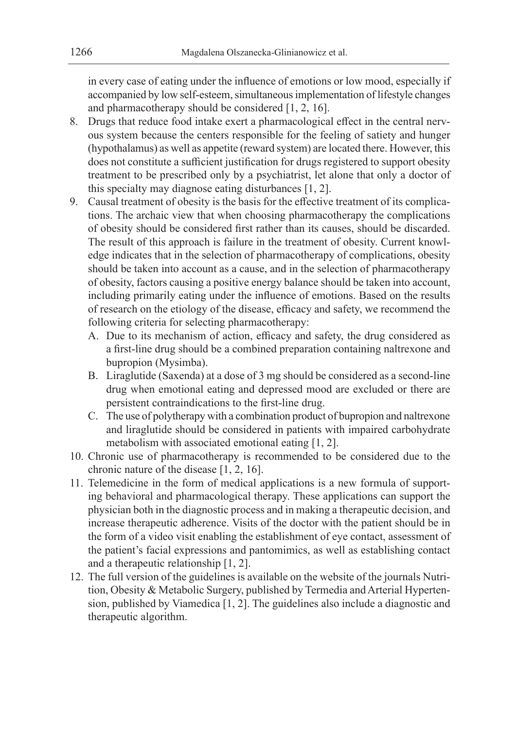in every case of eating under the influence of emotions or low mood, especially if accompanied by low self-esteem, simultaneous implementation of lifestyle changes and pharmacotherapy should be considered [1, 2, 16].

- 8. Drugs that reduce food intake exert a pharmacological effect in the central nervous system because the centers responsible for the feeling of satiety and hunger (hypothalamus) as well as appetite (reward system) are located there. However, this does not constitute a sufficient justification for drugs registered to support obesity treatment to be prescribed only by a psychiatrist, let alone that only a doctor of this specialty may diagnose eating disturbances [1, 2].
- 9. Causal treatment of obesity is the basis for the effective treatment of its complications. The archaic view that when choosing pharmacotherapy the complications of obesity should be considered first rather than its causes, should be discarded. The result of this approach is failure in the treatment of obesity. Current knowledge indicates that in the selection of pharmacotherapy of complications, obesity should be taken into account as a cause, and in the selection of pharmacotherapy of obesity, factors causing a positive energy balance should be taken into account, including primarily eating under the influence of emotions. Based on the results of research on the etiology of the disease, efficacy and safety, we recommend the following criteria for selecting pharmacotherapy:
	- A. Due to its mechanism of action, efficacy and safety, the drug considered as a first-line drug should be a combined preparation containing naltrexone and bupropion (Mysimba).
	- B. Liraglutide (Saxenda) at a dose of 3 mg should be considered as a second-line drug when emotional eating and depressed mood are excluded or there are persistent contraindications to the first-line drug.
	- C. The use of polytherapy with a combination product of bupropion and naltrexone and liraglutide should be considered in patients with impaired carbohydrate metabolism with associated emotional eating [1, 2].
- 10. Chronic use of pharmacotherapy is recommended to be considered due to the chronic nature of the disease [1, 2, 16].
- 11. Telemedicine in the form of medical applications is a new formula of supporting behavioral and pharmacological therapy. These applications can support the physician both in the diagnostic process and in making a therapeutic decision, and increase therapeutic adherence. Visits of the doctor with the patient should be in the form of a video visit enabling the establishment of eye contact, assessment of the patient's facial expressions and pantomimics, as well as establishing contact and a therapeutic relationship [1, 2].
- 12. The full version of the guidelines is available on the website of the journals Nutrition, Obesity & Metabolic Surgery, published by Termedia and Arterial Hypertension, published by Viamedica [1, 2]. The guidelines also include a diagnostic and therapeutic algorithm.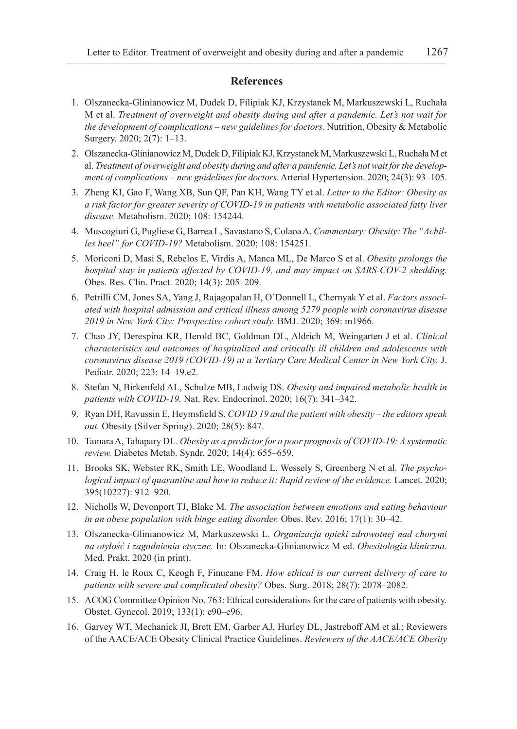## **References**

- 1. Olszanecka-Glinianowicz M, Dudek D, Filipiak KJ, Krzystanek M, Markuszewski L, Ruchała M et al. *Treatment of overweight and obesity during and after a pandemic. Let's not wait for the development of complications – new guidelines for doctors.* Nutrition, Obesity & Metabolic Surgery. 2020; 2(7): 1–13.
- 2. Olszanecka-Glinianowicz M, Dudek D, Filipiak KJ, Krzystanek M, Markuszewski L, Ruchała M et al. *Treatment of overweight and obesity during and after a pandemic. Let's not wait for the development of complications – new guidelines for doctors.* Arterial Hypertension. 2020; 24(3): 93–105.
- 3. Zheng KI, Gao F, Wang XB, Sun QF, Pan KH, Wang TY et al. *Letter to the Editor: Obesity as a risk factor for greater severity of COVID-19 in patients with metabolic associated fatty liver disease.* Metabolism. 2020; 108: 154244.
- 4. Muscogiuri G, Pugliese G, Barrea L, Savastano S, Colaoa A. *Commentary: Obesity: The "Achilles heel" for COVID-19?* Metabolism. 2020; 108: 154251.
- 5. Moriconi D, Masi S, Rebelos E, Virdis A, Manca ML, De Marco S et al. *Obesity prolongs the hospital stay in patients affected by COVID-19, and may impact on SARS-COV-2 shedding.* Obes. Res. Clin. Pract. 2020; 14(3): 205–209.
- 6. Petrilli CM, Jones SA, Yang J, Rajagopalan H, O'Donnell L, Chernyak Y et al. *Factors associated with hospital admission and critical illness among 5279 people with coronavirus disease 2019 in New York City: Prospective cohort study.* BMJ. 2020; 369: m1966.
- 7. Chao JY, Derespina KR, Herold BC, Goldman DL, Aldrich M, Weingarten J et al. *Clinical characteristics and outcomes of hospitalized and critically ill children and adolescents with coronavirus disease 2019 (COVID-19) at a Tertiary Care Medical Center in New York City.* J. Pediatr. 2020; 223: 14–19.e2.
- 8. Stefan N, Birkenfeld AL, Schulze MB, Ludwig DS. *Obesity and impaired metabolic health in patients with COVID-19.* Nat. Rev. Endocrinol. 2020; 16(7): 341–342.
- 9. Ryan DH, Ravussin E, Heymsfield S. *COVID 19 and the patient with obesity the editors speak out.* Obesity (Silver Spring). 2020; 28(5): 847.
- 10. Tamara A, Tahapary DL. *Obesity as a predictor for a poor prognosis of COVID-19: A systematic review.* Diabetes Metab. Syndr. 2020; 14(4): 655–659.
- 11. Brooks SK, Webster RK, Smith LE, Woodland L, Wessely S, Greenberg N et al. *The psychological impact of quarantine and how to reduce it: Rapid review of the evidence.* Lancet. 2020; 395(10227): 912–920.
- 12. Nicholls W, Devonport TJ, Blake M. *The association between emotions and eating behaviour in an obese population with binge eating disorder.* Obes. Rev. 2016; 17(1): 30–42.
- 13. Olszanecka-Glinianowicz M, Markuszewski L. *Organizacja opieki zdrowotnej nad chorymi na otyłość i zagadnienia etyczne.* In: Olszanecka-Glinianowicz M ed. *Obesitologia kliniczna.* Med. Prakt. 2020 (in print).
- 14. Craig H, le Roux C, Keogh F, Finucane FM. *How ethical is our current delivery of care to patients with severe and complicated obesity?* Obes. Surg. 2018; 28(7): 2078–2082.
- 15. ACOG Committee Opinion No. 763: Ethical considerations for the care of patients with obesity. Obstet. Gynecol. 2019; 133(1): e90–e96.
- 16. Garvey WT, Mechanick JI, Brett EM, Garber AJ, Hurley DL, Jastreboff AM et al.; Reviewers of the AACE/ACE Obesity Clinical Practice Guidelines. *Reviewers of the AACE/ACE Obesity*